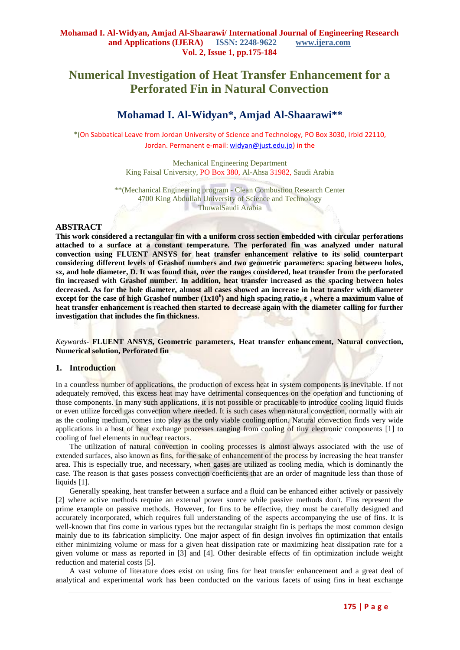# **Numerical Investigation of Heat Transfer Enhancement for a Perforated Fin in Natural Convection**

# **Mohamad I. Al-Widyan\*, Amjad Al-Shaarawi\*\***

\*(On Sabbatical Leave from Jordan University of Science and Technology, PO Box 3030, Irbid 22110, Jordan. Permanent e-mail[: widyan@just.edu.jo\)](mailto:widyan@just.edu.jo) in the

> Mechanical Engineering Department King Faisal University, PO Box 380, Al-Ahsa 31982, Saudi Arabia

\*\*(Mechanical Engineering program - Clean Combustion Research Center 4700 King Abdullah University of Science and Technology ThuwalSaudi Arabia

#### **ABSTRACT**

**This work considered a rectangular fin with a uniform cross section embedded with circular perforations attached to a surface at a constant temperature. The perforated fin was analyzed under natural convection using FLUENT ANSYS for heat transfer enhancement relative to its solid counterpart considering different levels of Grashof numbers and two geometric parameters: spacing between holes, sx, and hole diameter, D. It was found that, over the ranges considered, heat transfer from the perforated fin increased with Grashof number. In addition, heat transfer increased as the spacing between holes decreased. As for the hole diameter, almost all cases showed an increase in heat transfer with diameter except for the case of high Grashof number (1x10<sup>6</sup> ) and high spacing ratio, ε , where a maximum value of heat transfer enhancement is reached then started to decrease again with the diameter calling for further investigation that includes the fin thickness.**

*Keywords-* **FLUENT ANSYS, Geometric parameters, Heat transfer enhancement, Natural convection, Numerical solution, Perforated fin**

#### **1. Introduction**

In a countless number of applications, the production of excess heat in system components is inevitable. If not adequately removed, this excess heat may have detrimental consequences on the operation and functioning of those components. In many such applications, it is not possible or practicable to introduce cooling liquid fluids or even utilize forced gas convection where needed. It is such cases when natural convection, normally with air as the cooling medium, comes into play as the only viable cooling option. Natural convection finds very wide applications in a host of heat exchange processes ranging from cooling of tiny electronic components [1] to cooling of fuel elements in nuclear reactors.

The utilization of natural convection in cooling processes is almost always associated with the use of extended surfaces, also known as fins, for the sake of enhancement of the process by increasing the heat transfer area. This is especially true, and necessary, when gases are utilized as cooling media, which is dominantly the case. The reason is that gases possess convection coefficients that are an order of magnitude less than those of liquids [1].

Generally speaking, heat transfer between a surface and a fluid can be enhanced either actively or passively [2] where active methods require an external power source while passive methods don't. Fins represent the prime example on passive methods. However, for fins to be effective, they must be carefully designed and accurately incorporated, which requires full understanding of the aspects accompanying the use of fins. It is well-known that fins come in various types but the rectangular straight fin is perhaps the most common design mainly due to its fabrication simplicity. One major aspect of fin design involves fin optimization that entails either minimizing volume or mass for a given heat dissipation rate or maximizing heat dissipation rate for a given volume or mass as reported in [3] and [4]. Other desirable effects of fin optimization include weight reduction and material costs [5].

A vast volume of literature does exist on using fins for heat transfer enhancement and a great deal of analytical and experimental work has been conducted on the various facets of using fins in heat exchange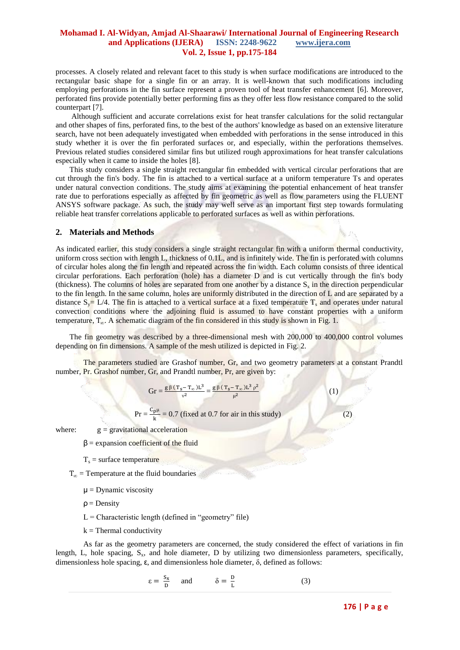processes. A closely related and relevant facet to this study is when surface modifications are introduced to the rectangular basic shape for a single fin or an array. It is well-known that such modifications including employing perforations in the fin surface represent a proven tool of heat transfer enhancement [6]. Moreover, perforated fins provide potentially better performing fins as they offer less flow resistance compared to the solid counterpart [7].

Although sufficient and accurate correlations exist for heat transfer calculations for the solid rectangular and other shapes of fins, perforated fins, to the best of the authors' knowledge as based on an extensive literature search, have not been adequately investigated when embedded with perforations in the sense introduced in this study whether it is over the fin perforated surfaces or, and especially, within the perforations themselves. Previous related studies considered similar fins but utilized rough approximations for heat transfer calculations especially when it came to inside the holes [8].

This study considers a single straight rectangular fin embedded with vertical circular perforations that are cut through the fin's body. The fin is attached to a vertical surface at a uniform temperature Ts and operates under natural convection conditions. The study aims at examining the potential enhancement of heat transfer rate due to perforations especially as affected by fin geometric as well as flow parameters using the FLUENT ANSYS software package. As such, the study may well serve as an important first step towards formulating reliable heat transfer correlations applicable to perforated surfaces as well as within perforations.

#### **2. Materials and Methods**

As indicated earlier, this study considers a single straight rectangular fin with a uniform thermal conductivity, uniform cross section with length L, thickness of 0.1L, and is infinitely wide. The fin is perforated with columns of circular holes along the fin length and repeated across the fin width. Each column consists of three identical circular perforations. Each perforation (hole) has a diameter D and is cut vertically through the fin's body (thickness). The columns of holes are separated from one another by a distance  $S_x$  in the direction perpendicular to the fin length. In the same column, holes are uniformly distributed in the direction of L and are separated by a distance  $S_v = L/4$ . The fin is attached to a vertical surface at a fixed temperature T<sub>s</sub> and operates under natural convection conditions where the adjoining fluid is assumed to have constant properties with a uniform temperature,  $T_{\alpha}$ . A schematic diagram of the fin considered in this study is shown in Fig. 1.

The fin geometry was described by a three-dimensional mesh with 200,000 to 400,000 control volumes depending on fin dimensions. A sample of the mesh utilized is depicted in Fig. 2.

The parameters studied are Grashof number, Gr, and two geometry parameters at a constant Prandtl number, Pr. Grashof number, Gr, and Prandtl number, Pr, are given by:

$$
Gr = \frac{g \, \beta \, (\, T_S - T_\infty \, ) L^3}{v^2} = \frac{g \, \beta \, (\, T_S - T_\infty \, ) L^3 \, \rho^2}{\mu^2}
$$

 $Pr = \frac{C_{\text{p}}\mu}{k} = 0.7$  (fixed at 0.7 for air in this study) (2)

where:  $g =$  gravitational acceleration

- $β =$  expansion coefficient of the fluid
- $T_s$  = surface temperature

 $T_{\infty}$  = Temperature at the fluid boundaries

- $\mu$  = Dynamic viscosity
- $\rho =$  Density
- $L =$ Characteristic length (defined in "geometry" file)
- $k =$ Thermal conductivity

As far as the geometry parameters are concerned, the study considered the effect of variations in fin length, L, hole spacing,  $S_x$ , and hole diameter, D by utilizing two dimensionless parameters, specifically, dimensionless hole spacing,  $\varepsilon$ , and dimensionless hole diameter,  $\delta$ , defined as follows:

$$
\varepsilon = \frac{S_x}{D} \quad \text{and} \quad \delta = \frac{D}{L} \tag{3}
$$

(1)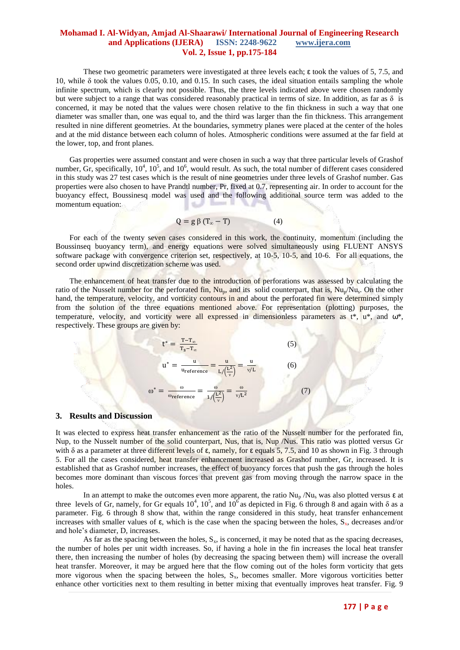These two geometric parameters were investigated at three levels each; ε took the values of 5, 7.5, and 10, while  $\delta$  took the values 0.05, 0.10, and 0.15. In such cases, the ideal situation entails sampling the whole infinite spectrum, which is clearly not possible. Thus, the three levels indicated above were chosen randomly but were subject to a range that was considered reasonably practical in terms of size. In addition, as far as  $\delta$  is concerned, it may be noted that the values were chosen relative to the fin thickness in such a way that one diameter was smaller than, one was equal to, and the third was larger than the fin thickness. This arrangement resulted in nine different geometries. At the boundaries, symmetry planes were placed at the center of the holes and at the mid distance between each column of holes. Atmospheric conditions were assumed at the far field at the lower, top, and front planes.

Gas properties were assumed constant and were chosen in such a way that three particular levels of Grashof number,  $\rm Gr$ , specifically,  $10^4$ ,  $10^5$ , and  $10^6$ , would result. As such, the total number of different cases considered in this study was 27 test cases which is the result of nine geometries under three levels of Grashof number. Gas properties were also chosen to have Prandtl number, Pr, fixed at 0.7, representing air. In order to account for the buoyancy effect, Boussinesq model was used and the following additional source term was added to the momentum equation:

$$
Q = g \beta (T_{\infty} - T) \tag{4}
$$

For each of the twenty seven cases considered in this work, the continuity, momentum (including the Boussinseq buoyancy term), and energy equations were solved simultaneously using FLUENT ANSYS software package with convergence criterion set, respectively, at 10-5, 10-5, and 10-6. For all equations, the second order upwind discretization scheme was used.

The enhancement of heat transfer due to the introduction of perforations was assessed by calculating the ratio of the Nusselt number for the perforated fin, Nu<sub>p</sub>, and its solid counterpart, that is, Nu<sub>p</sub>/Nu<sub>s</sub>. On the other hand, the temperature, velocity, and vorticity contours in and about the perforated fin were determined simply from the solution of the three equations mentioned above. For representation (plotting) purposes, the temperature, velocity, and vorticity were all expressed in dimensionless parameters as t<sup>\*</sup>, u<sup>\*</sup>, and ω<sup>\*</sup>, respectively. These groups are given by:

$$
t^* = \frac{T - T_{\infty}}{T_s - T_{\infty}}
$$
(5)  

$$
u^* = \frac{u}{u_{reference}} = \frac{u}{L / (\frac{L^2}{v})} = \frac{u}{v/L}
$$
(6)  

$$
\omega^* = \frac{\omega}{\omega_{reference}} = \frac{\omega}{1 / (\frac{L^2}{v})} = \frac{\omega}{v/L^2}
$$
(7)

#### **3. Results and Discussion**

It was elected to express heat transfer enhancement as the ratio of the Nusselt number for the perforated fin, Nup, to the Nusselt number of the solid counterpart, Nus, that is, Nup /Nus. This ratio was plotted versus Gr with  $\delta$  as a parameter at three different levels of  $\varepsilon$ , namely, for  $\varepsilon$  equals 5, 7.5, and 10 as shown in Fig. 3 through 5. For all the cases considered, heat transfer enhancement increased as Grashof number, Gr, increased. It is established that as Grashof number increases, the effect of buoyancy forces that push the gas through the holes becomes more dominant than viscous forces that prevent gas from moving through the narrow space in the holes.

In an attempt to make the outcomes even more apparent, the ratio  $Nu_{p}$  /Nu<sub>s</sub> was also plotted versus  $\varepsilon$  at three levels of Gr, namely, for Gr equals  $10^4$ ,  $10^5$ , and  $10^6$  as depicted in Fig. 6 through 8 and again with  $\delta$  as a parameter. Fig. 6 through 8 show that, within the range considered in this study, heat transfer enhancement increases with smaller values of  $\varepsilon$ , which is the case when the spacing between the holes,  $S_x$ , decreases and/or and hole's diameter, D, increases.

As far as the spacing between the holes,  $S_x$ , is concerned, it may be noted that as the spacing decreases, the number of holes per unit width increases. So, if having a hole in the fin increases the local heat transfer there, then increasing the number of holes (by decreasing the spacing between them) will increase the overall heat transfer. Moreover, it may be argued here that the flow coming out of the holes form vorticity that gets more vigorous when the spacing between the holes,  $S<sub>x</sub>$ , becomes smaller. More vigorous vorticities better enhance other vorticities next to them resulting in better mixing that eventually improves heat transfer. Fig. 9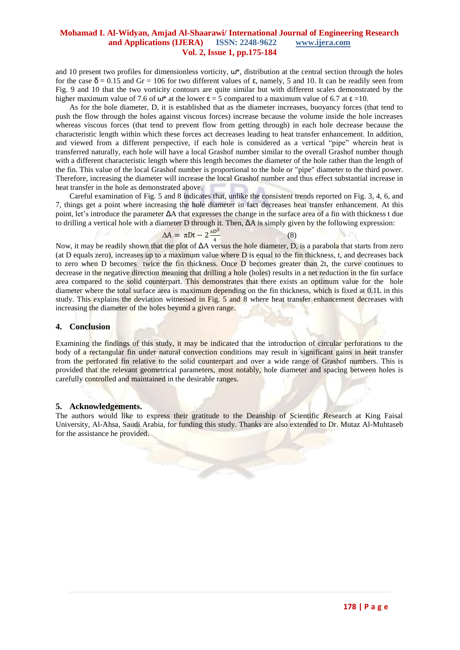and 10 present two profiles for dimensionless vorticity, ω\*, distribution at the central section through the holes for the case δ = 0.15 and Gr = 106 for two different values of ε, namely, 5 and 10. It can be readily seen from Fig. 9 and 10 that the two vorticity contours are quite similar but with different scales demonstrated by the higher maximum value of 7.6 of  $\omega^*$  at the lower  $\varepsilon = 5$  compared to a maximum value of 6.7 at  $\varepsilon = 10$ .

As for the hole diameter, D, it is established that as the diameter increases, buoyancy forces (that tend to push the flow through the holes against viscous forces) increase because the volume inside the hole increases whereas viscous forces (that tend to prevent flow from getting through) in each hole decrease because the characteristic length within which these forces act decreases leading to heat transfer enhancement. In addition, and viewed from a different perspective, if each hole is considered as a vertical "pipe" wherein heat is transferred naturally, each hole will have a local Grashof number similar to the overall Grashof number though with a different characteristic length where this length becomes the diameter of the hole rather than the length of the fin. This value of the local Grashof number is proportional to the hole or "pipe" diameter to the third power. Therefore, increasing the diameter will increase the local Grashof number and thus effect substantial increase in heat transfer in the hole as demonstrated above.

Careful examination of Fig. 5 and 8 indicates that, unlike the consistent trends reported on Fig. 3, 4, 6, and 7, things get a point where increasing the hole diameter in fact decreases heat transfer enhancement. At this point, let's introduce the parameter ΔA that expresses the change in the surface area of a fin with thickness t due to drilling a vertical hole with a diameter D through it. Then, ΔA is simply given by the following expression:

$$
\Delta A = \pi Dt - 2\frac{\pi D^2}{4}
$$
 (8)

Now, it may be readily shown that the plot of ΔA versus the hole diameter, D, is a parabola that starts from zero (at D equals zero), increases up to a maximum value where D is equal to the fin thickness, t, and decreases back to zero when D becomes twice the fin thickness. Once D becomes greater than 2t, the curve continues to decrease in the negative direction meaning that drilling a hole (holes) results in a net reduction in the fin surface area compared to the solid counterpart. This demonstrates that there exists an optimum value for the hole diameter where the total surface area is maximum depending on the fin thickness, which is fixed at 0.1L in this study. This explains the deviation witnessed in Fig. 5 and 8 where heat transfer enhancement decreases with increasing the diameter of the holes beyond a given range.

#### **4. Conclusion**

Examining the findings of this study, it may be indicated that the introduction of circular perforations to the body of a rectangular fin under natural convection conditions may result in significant gains in heat transfer from the perforated fin relative to the solid counterpart and over a wide range of Grashof numbers. This is provided that the relevant geometrical parameters, most notably, hole diameter and spacing between holes is carefully controlled and maintained in the desirable ranges.

### **5. Acknowledgements.**

The authors would like to express their gratitude to the Deanship of Scientific Research at King Faisal University, Al-Ahsa, Saudi Arabia, for funding this study. Thanks are also extended to Dr. Mutaz Al-Muhtaseb for the assistance he provided.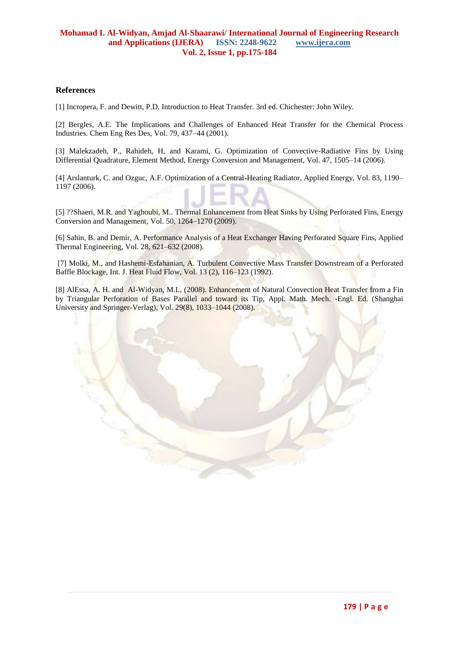## **References**

[1] Incropera, F. and Dewitt, P.D. Introduction to Heat Transfer. 3rd ed. Chichester: John Wiley.

[2] Bergles, A.E. The Implications and Challenges of Enhanced Heat Transfer for the Chemical Process Industries. Chem Eng Res Des, Vol. 79, 437–44 (2001).

[3] Malekzadeh, P., Rahideh, H, and Karami, G. Optimization of Convective-Radiative Fins by Using Differential Quadrature, Element Method, Energy Conversion and Management, Vol. 47, 1505–14 (2006).

[4] Arslanturk, C. and Ozguc, A.F. Optimization of a Central-Heating Radiator, Applied Energy, Vol. 83, 1190– 1197 (2006).

[5] ??Shaeri, M.R. and Yaghoubi, M.. Thermal Enhancement from Heat Sinks by Using Perforated Fins, Energy Conversion and Management, Vol. 50, 1264–1270 (2009).

[6] Sahin, B. and Demir, A. Performance Analysis of a Heat Exchanger Having Perforated Square Fins, Applied Thermal Engineering, Vol. 28, 621–632 (2008).

[7] Molki, M., and Hashemi-Esfahanian, A. Turbulent Convective Mass Transfer Downstream of a Perforated Baffle Blockage, Int. J. Heat Fluid Flow, Vol. 13 (2), 116–123 (1992).

[8] AlEssa, A. H. and Al-Widyan, M.I., (2008). Enhancement of Natural Convection Heat Transfer from a Fin by Triangular Perforation of Bases Parallel and toward its Tip, Appl. Math. Mech. -Engl. Ed. (Shanghai University and Springer-Verlag), Vol. 29(8), 1033–1044 (2008).

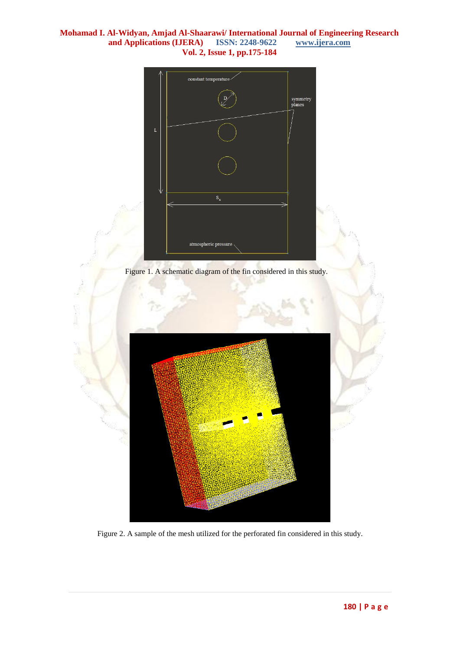

Figure 1. A schematic diagram of the fin considered in this study.



Figure 2. A sample of the mesh utilized for the perforated fin considered in this study.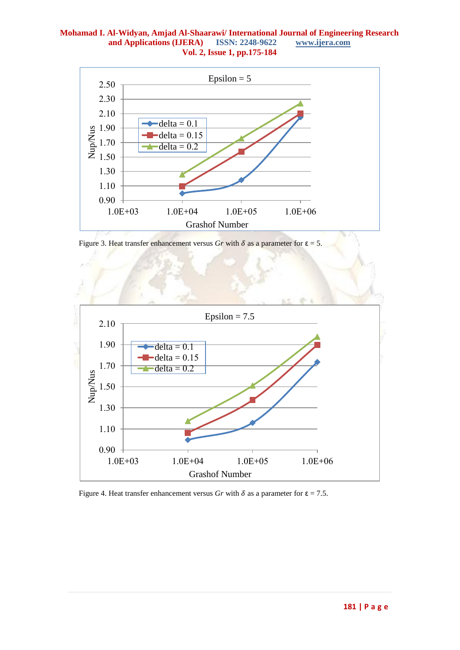

Figure 3. Heat transfer enhancement versus *Gr* with  $\delta$  as a parameter for  $\epsilon = 5$ .



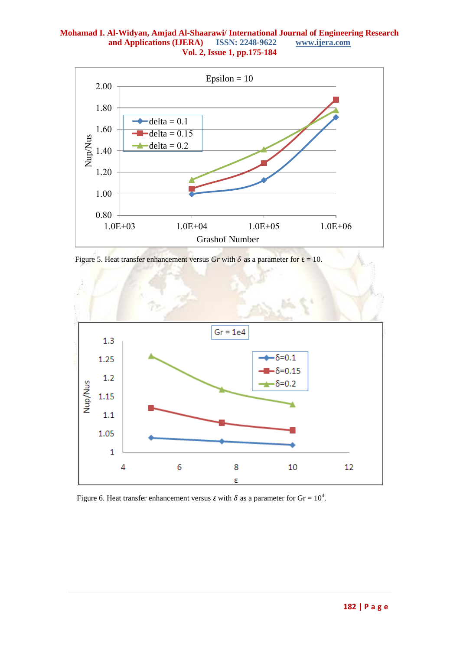

Figure 5. Heat transfer enhancement versus  $Gr$  with  $\delta$  as a parameter for  $\epsilon = 10$ .



Figure 6. Heat transfer enhancement versus  $\varepsilon$  with  $\delta$  as a parameter for Gr =  $10^4$ .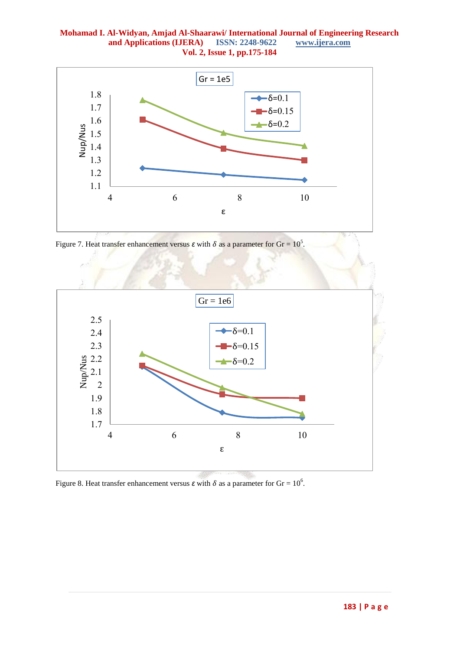

Figure 7. Heat transfer enhancement versus  $\varepsilon$  with  $\delta$  as a parameter for Gr = 10<sup>5</sup>.



Figure 8. Heat transfer enhancement versus  $\varepsilon$  with  $\delta$  as a parameter for Gr = 10<sup>6</sup>.